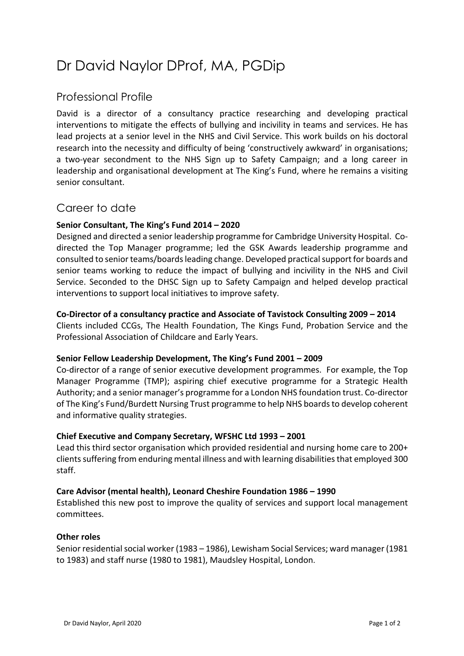# Dr David Naylor DProf, MA, PGDip

# Professional Profile

David is a director of a consultancy practice researching and developing practical interventions to mitigate the effects of bullying and incivility in teams and services. He has lead projects at a senior level in the NHS and Civil Service. This work builds on his doctoral research into the necessity and difficulty of being 'constructively awkward' in organisations; a two-year secondment to the NHS Sign up to Safety Campaign; and a long career in leadership and organisational development at The King's Fund, where he remains a visiting senior consultant.

# Career to date

#### **Senior Consultant, The King's Fund 2014 – 2020**

Designed and directed a senior leadership programme for Cambridge University Hospital. Codirected the Top Manager programme; led the GSK Awards leadership programme and consulted to senior teams/boards leading change. Developed practical support for boards and senior teams working to reduce the impact of bullying and incivility in the NHS and Civil Service. Seconded to the DHSC Sign up to Safety Campaign and helped develop practical interventions to support local initiatives to improve safety.

#### **Co-Director of a consultancy practice and Associate of Tavistock Consulting 2009 – 2014**

Clients included CCGs, The Health Foundation, The Kings Fund, Probation Service and the Professional Association of Childcare and Early Years.

#### **Senior Fellow Leadership Development, The King's Fund 2001 – 2009**

Co-director of a range of senior executive development programmes. For example, the Top Manager Programme (TMP); aspiring chief executive programme for a Strategic Health Authority; and a senior manager's programme for a London NHS foundation trust. Co-director of The King's Fund/Burdett Nursing Trust programme to help NHS boards to develop coherent and informative quality strategies.

#### **Chief Executive and Company Secretary, WFSHC Ltd 1993 – 2001**

Lead this third sector organisation which provided residential and nursing home care to 200+ clients suffering from enduring mental illness and with learning disabilitiesthat employed 300 staff.

### **Care Advisor (mental health), Leonard Cheshire Foundation 1986 – 1990**

Established this new post to improve the quality of services and support local management committees.

#### **Other roles**

Senior residential social worker (1983 – 1986), Lewisham Social Services; ward manager (1981 to 1983) and staff nurse (1980 to 1981), Maudsley Hospital, London.